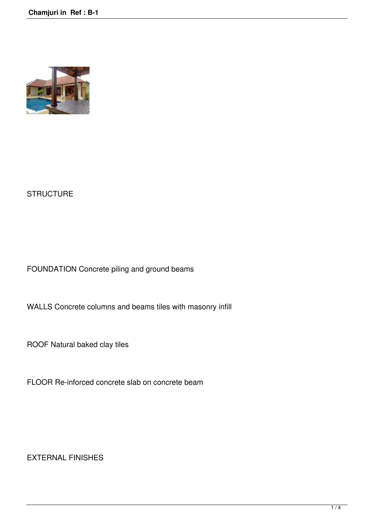

## **STRUCTURE**

FOUNDATION Concrete piling and ground beams

WALLS Concrete columns and beams tiles with masonry infill

ROOF Natural baked clay tiles

FLOOR Re-inforced concrete slab on concrete beam

EXTERNAL FINISHES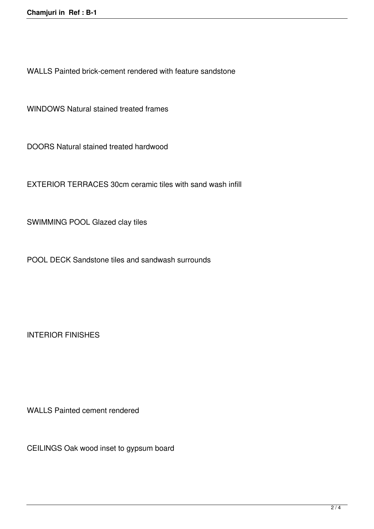WALLS Painted brick-cement rendered with feature sandstone

WINDOWS Natural stained treated frames

DOORS Natural stained treated hardwood

EXTERIOR TERRACES 30cm ceramic tiles with sand wash infill

SWIMMING POOL Glazed clay tiles

POOL DECK Sandstone tiles and sandwash surrounds

INTERIOR FINISHES

WALLS Painted cement rendered

CEILINGS Oak wood inset to gypsum board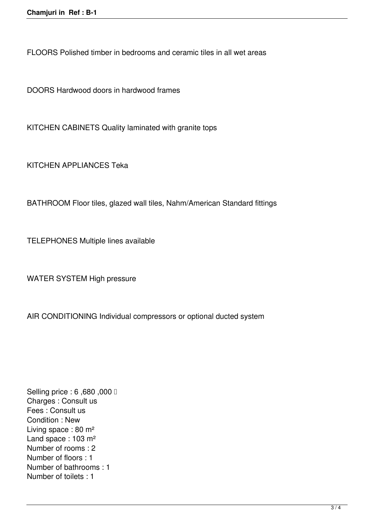FLOORS Polished timber in bedrooms and ceramic tiles in all wet areas

DOORS Hardwood doors in hardwood frames

KITCHEN CABINETS Quality laminated with granite tops

KITCHEN APPLIANCES Teka

BATHROOM Floor tiles, glazed wall tiles, Nahm/American Standard fittings

TELEPHONES Multiple lines available

WATER SYSTEM High pressure

AIR CONDITIONING Individual compressors or optional ducted system

**Selling price : 6,680,000 □** Charges : Consult us Fees : Consult us Condition : New Living space : 80 m² Land space : 103 m<sup>2</sup> Number of rooms : 2 Number of floors : 1 Number of bathrooms : 1 Number of toilets : 1